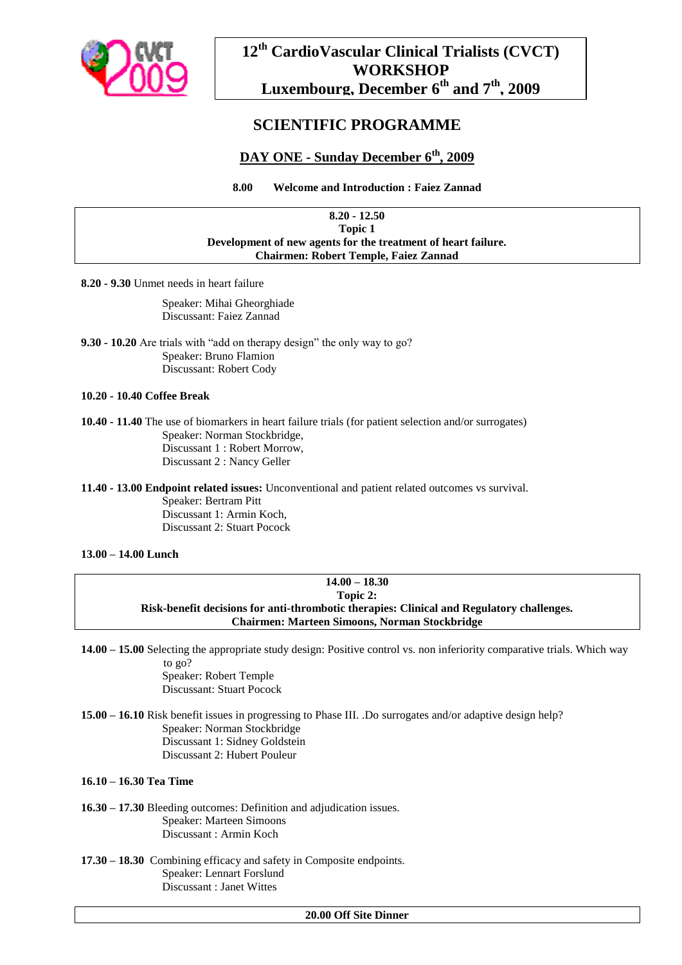

# **12th CardioVascular Clinical Trialists (CVCT) WORKSHOP Luxembourg, December 6th and 7th, 2009**

# **SCIENTIFIC PROGRAMME**

# **DAY ONE - Sunday December 6th, 2009**

**8.00 Welcome and Introduction : Faiez Zannad**

#### **8.20 - 12.50 Topic 1 Development of new agents for the treatment of heart failure. Chairmen: Robert Temple, Faiez Zannad**

**8.20 - 9.30** Unmet needs in heart failure

Speaker: Mihai Gheorghiade Discussant: Faiez Zannad

**9.30 - 10.20** Are trials with "add on therapy design" the only way to go? Speaker: Bruno Flamion Discussant: Robert Cody

### **10.20 - 10.40 Coffee Break**

**10.40 - 11.40** The use of biomarkers in heart failure trials (for patient selection and/or surrogates) Speaker: Norman Stockbridge, Discussant 1 : Robert Morrow, Discussant 2 : Nancy Geller

**11.40 - 13.00 Endpoint related issues:** Unconventional and patient related outcomes vs survival.

Speaker: Bertram Pitt Discussant 1: Armin Koch, Discussant 2: Stuart Pocock

## **13.00 – 14.00 Lunch**

### **14.00 – 18.30 Topic 2: Risk-benefit decisions for anti-thrombotic therapies: Clinical and Regulatory challenges. Chairmen: Marteen Simoons, Norman Stockbridge**

**14.00 – 15.00** Selecting the appropriate study design: Positive control vs. non inferiority comparative trials. Which way to go?

> Speaker: Robert Temple Discussant: Stuart Pocock

**15.00 – 16.10** Risk benefit issues in progressing to Phase III. .Do surrogates and/or adaptive design help? Speaker: Norman Stockbridge Discussant 1: Sidney Goldstein Discussant 2: Hubert Pouleur

### **16.10 – 16.30 Tea Time**

**16.30 – 17.30** Bleeding outcomes: Definition and adjudication issues. Speaker: Marteen Simoons Discussant : Armin Koch

**17.30 – 18.30** Combining efficacy and safety in Composite endpoints. Speaker: Lennart Forslund Discussant : Janet Wittes

#### **20.00 Off Site Dinner**